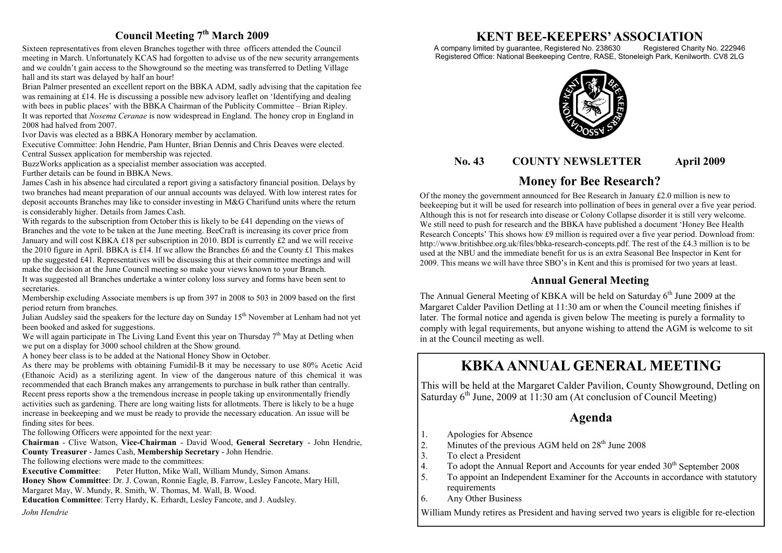## **Council Meeting 7th March 2009**

Sixteen representatives from eleven Branches together with three officers attended the Council meeting in March. Unfortunately KCAS had forgotten to advise us of the new security arrangements and we couldn't gain access to the Showground so the meeting was transferred to Detling Village hall and its start was delayed by half an hour!

Brian Palmer presented an excellent report on the BBKA ADM, sadly advising that the capitation fee was remaining at £14. He is discussing a possible new advisory leaflet on 'Identifying and dealing with bees in public places' with the BBKA Chairman of the Publicity Committee – Brian Ripley. It was reported that *Nosema Ceranae* is now widespread in England. The honey crop in England in 2008 had halved from 2007.

Ivor Davis was elected as a BBKA Honorary member by acclamation.

Executive Committee: John Hendrie, Pam Hunter, Brian Dennis and Chris Deaves were elected.

Central Sussex application for membership was rejected.

BuzzWorks application as a specialist member association was accepted.

Further details can be found in BBKA News.

James Cash in his absence had circulated a report giving a satisfactory financial position. Delays by two branches had meant preparation of our annual accounts was delayed. With low interest rates for deposit accounts Branches may like to consider investing in M&G Charifund units where the return is considerably higher. Details from James Cash.

With regards to the subscription from October this is likely to be £41 depending on the views of Branches and the vote to be taken at the June meeting. BeeCraft is increasing its cover price from January and will cost KBKA £18 per subscription in 2010. BDI is currently £2 and we will receive the 2010 figure in April. BBKA is £14. If we allow the Branches £6 and the County £1 This makes up the suggested £41. Representatives will be discussing this at their committee meetings and will make the decision at the June Council meeting so make your views known to your Branch.

It was suggested all Branches undertake a winter colony loss survey and forms have been sent to secretaries.

Membership excluding Associate members is up from 397 in 2008 to 503 in 2009 based on the first period return from branches.

Julian Audsley said the speakers for the lecture day on Sunday 15<sup>th</sup> November at Lenham had not yet been booked and asked for suggestions.

We will again participate in The Living Land Event this year on Thursday  $7<sup>th</sup>$  May at Detling when we put on a display for 3000 school children at the Show ground.

A honey beer class is to be added at the National Honey Show in October.

As there may be problems with obtaining Fumidil-B it may be necessary to use 80% Acetic Acid (Ethanoic Acid) as a sterilizing agent. In view of the dangerous nature of this chemical it was recommended that each Branch makes any arrangements to purchase in bulk rather than centrally. Recent press reports show a the tremendous increase in people taking up environmentally friendly activities such as gardening. There are long waiting lists for allotments. There is likely to be a huge increase in beekeeping and we must be ready to provide the necessary education. An issue will be finding sites for bees.

The following Officers were appointed for the next year:

**Chairman** - Clive Watson, **Vice-Chairman** - David Wood, **General Secretary** - John Hendrie, **County Treasurer** - James Cash, **Membership Secretary** - John Hendrie.

The following elections were made to the committees:

**Executive Committee**: Peter Hutton, Mike Wall, William Mundy, Simon Amans. **Honey Show Committee**: Dr. J. Cowan, Ronnie Eagle, B. Farrow, Lesley Fancote, Mary Hill, Margaret May, W. Mundy, R. Smith, W. Thomas, M. Wall, B. Wood.

**Education Committee**: Terry Hardy, K. Erhardt, Lesley Fancote, and J. Audsley.

*John Hendrie*

# **KENT BEE-KEEPERS' ASSOCIATION**

A company limited by guarantee, Registered No. 238630 Registered Charity No. 222946 Registered Office: National Beekeeping Centre, RASE, Stoneleigh Park, Kenilworth. CV8 2LG



## **No. 43 COUNTY NEWSLETTER April 2009**

# **Money for Bee Research?**

Of the money the government announced for Bee Research in January  $£2.0$  million is new to beekeeping but it will be used for research into pollination of bees in general over a five year period. Although this is not for research into disease or Colony Collapse disorder it is still very welcome. We still need to push for research and the BBKA have published a document 'Honey Bee Health Research Concepts' This shows how £9 million is required over a five year period. Download from: http://www.britishbee.org.uk/files/bbka-research-concepts.pdf. The rest of the £4.3 million is to be used at the NBU and the immediate benefit for us is an extra Seasonal Bee Inspector in Kent for 2009. This means we will have three SBO's in Kent and this is promised for two years at least.

## **Annual General Meeting**

The Annual General Meeting of KBKA will be held on Saturday  $6<sup>th</sup>$  June 2009 at the Margaret Calder Pavilion Detling at 11:30 am or when the Council meeting finishes if later. The formal notice and agenda is given below The meeting is purely a formality to comply with legal requirements, but anyone wishing to attend the AGM is welcome to sit in at the Council meeting as well.

# **KBKA ANNUAL GENERAL MEETING**

This will be held at the Margaret Calder Pavilion, County Showground, Detling on Saturday  $6<sup>th</sup>$  June, 2009 at 11:30 am (At conclusion of Council Meeting)

## **Agenda**

- 1. Apologies for Absence<br>2. Minutes of the previous
- 2. Minutes of the previous AGM held on  $28<sup>th</sup>$  June 2008<br>3. To elect a President
- To elect a President
- 4. To adopt the Annual Report and Accounts for year ended  $30<sup>th</sup>$  September 2008<br>5 To appoint an Independent Examiner for the Accounts in accordance with statu
- To appoint an Independent Examiner for the Accounts in accordance with statutory requirements
- 6. Any Other Business

William Mundy retires as President and having served two years is eligible for re-election